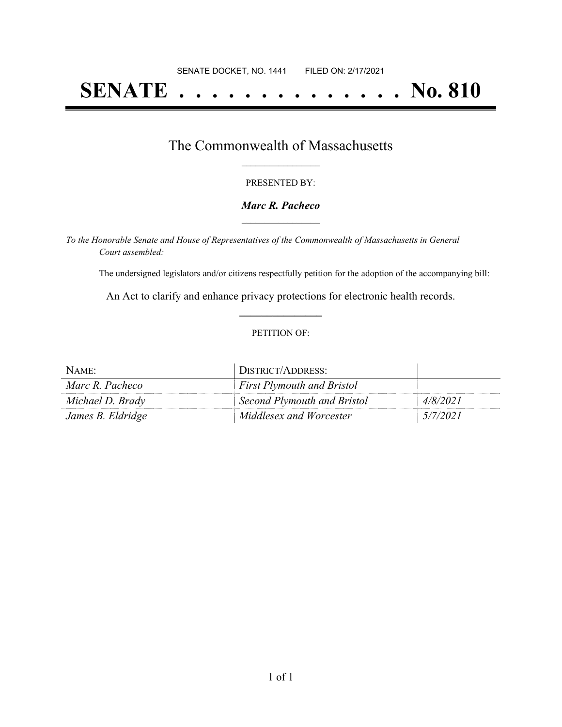# **SENATE . . . . . . . . . . . . . . No. 810**

## The Commonwealth of Massachusetts **\_\_\_\_\_\_\_\_\_\_\_\_\_\_\_\_\_**

#### PRESENTED BY:

#### *Marc R. Pacheco* **\_\_\_\_\_\_\_\_\_\_\_\_\_\_\_\_\_**

*To the Honorable Senate and House of Representatives of the Commonwealth of Massachusetts in General Court assembled:*

The undersigned legislators and/or citizens respectfully petition for the adoption of the accompanying bill:

An Act to clarify and enhance privacy protections for electronic health records. **\_\_\_\_\_\_\_\_\_\_\_\_\_\_\_**

#### PETITION OF:

| NAME:             | DISTRICT/ADDRESS:                 |          |
|-------------------|-----------------------------------|----------|
| Marc R. Pacheco   | <b>First Plymouth and Bristol</b> |          |
| Michael D. Brady  | Second Plymouth and Bristol       | 4/8/2021 |
| James B. Eldridge | Middlesex and Worcester           | 5/7/2021 |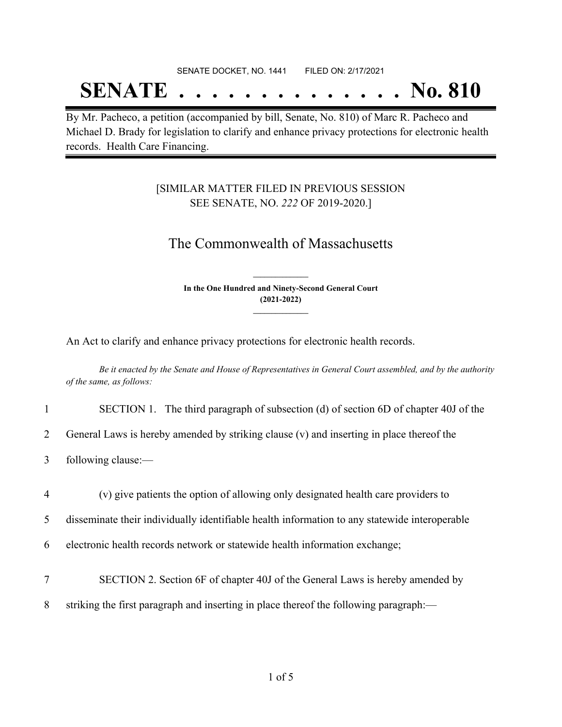# SENATE DOCKET, NO. 1441 FILED ON: 2/17/2021 **SENATE . . . . . . . . . . . . . . No. 810**

By Mr. Pacheco, a petition (accompanied by bill, Senate, No. 810) of Marc R. Pacheco and Michael D. Brady for legislation to clarify and enhance privacy protections for electronic health records. Health Care Financing.

### [SIMILAR MATTER FILED IN PREVIOUS SESSION SEE SENATE, NO. *222* OF 2019-2020.]

# The Commonwealth of Massachusetts

**In the One Hundred and Ninety-Second General Court (2021-2022) \_\_\_\_\_\_\_\_\_\_\_\_\_\_\_**

**\_\_\_\_\_\_\_\_\_\_\_\_\_\_\_**

An Act to clarify and enhance privacy protections for electronic health records.

Be it enacted by the Senate and House of Representatives in General Court assembled, and by the authority *of the same, as follows:*

1 SECTION 1. The third paragraph of subsection (d) of section 6D of chapter 40J of the

2 General Laws is hereby amended by striking clause (v) and inserting in place thereof the

3 following clause:—

4 (v) give patients the option of allowing only designated health care providers to

5 disseminate their individually identifiable health information to any statewide interoperable

6 electronic health records network or statewide health information exchange;

- 7 SECTION 2. Section 6F of chapter 40J of the General Laws is hereby amended by
- 8 striking the first paragraph and inserting in place thereof the following paragraph:—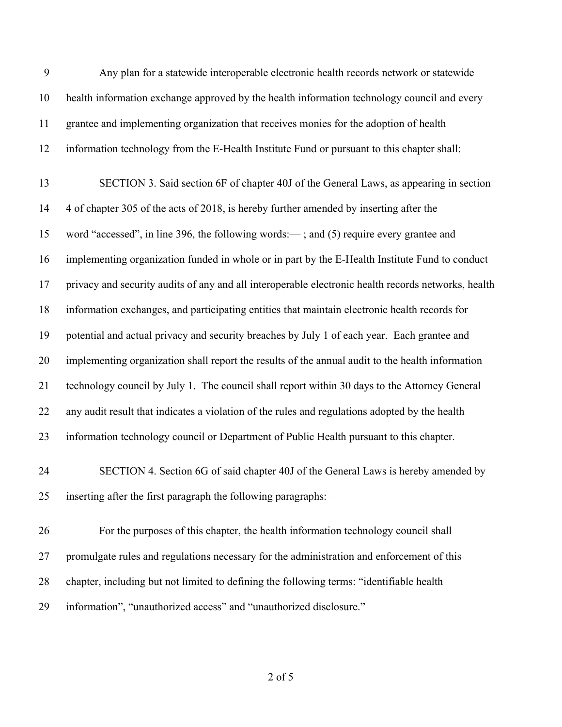| 9  | Any plan for a statewide interoperable electronic health records network or statewide               |
|----|-----------------------------------------------------------------------------------------------------|
| 10 | health information exchange approved by the health information technology council and every         |
| 11 | grantee and implementing organization that receives monies for the adoption of health               |
| 12 | information technology from the E-Health Institute Fund or pursuant to this chapter shall:          |
| 13 | SECTION 3. Said section 6F of chapter 40J of the General Laws, as appearing in section              |
| 14 | 4 of chapter 305 of the acts of 2018, is hereby further amended by inserting after the              |
| 15 | word "accessed", in line 396, the following words: $-$ ; and (5) require every grantee and          |
| 16 | implementing organization funded in whole or in part by the E-Health Institute Fund to conduct      |
| 17 | privacy and security audits of any and all interoperable electronic health records networks, health |
| 18 | information exchanges, and participating entities that maintain electronic health records for       |
| 19 | potential and actual privacy and security breaches by July 1 of each year. Each grantee and         |
| 20 | implementing organization shall report the results of the annual audit to the health information    |
| 21 | technology council by July 1. The council shall report within 30 days to the Attorney General       |
| 22 | any audit result that indicates a violation of the rules and regulations adopted by the health      |
| 23 | information technology council or Department of Public Health pursuant to this chapter.             |
| 24 | SECTION 4. Section 6G of said chapter 40J of the General Laws is hereby amended by                  |
| 25 | inserting after the first paragraph the following paragraphs:—                                      |
| 26 | For the purposes of this chapter, the health information technology council shall                   |
| 27 | promulgate rules and regulations necessary for the administration and enforcement of this           |
| 28 | chapter, including but not limited to defining the following terms: "identifiable health            |
| 29 | information", "unauthorized access" and "unauthorized disclosure."                                  |

of 5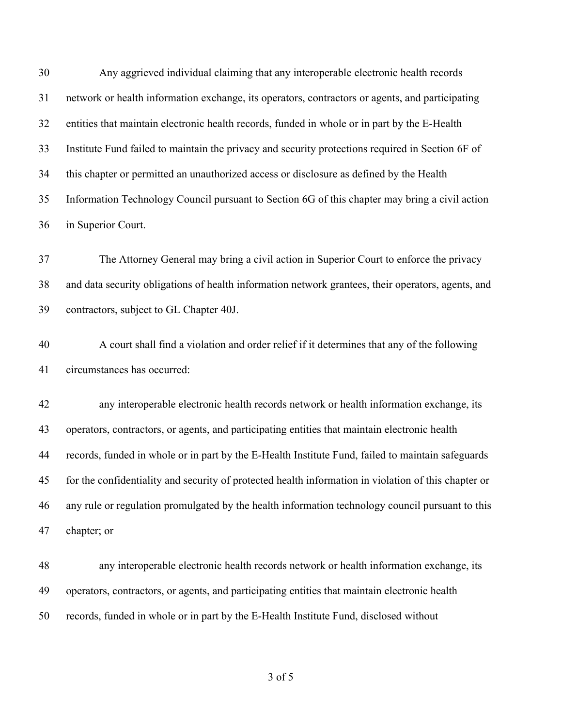Any aggrieved individual claiming that any interoperable electronic health records network or health information exchange, its operators, contractors or agents, and participating entities that maintain electronic health records, funded in whole or in part by the E-Health Institute Fund failed to maintain the privacy and security protections required in Section 6F of this chapter or permitted an unauthorized access or disclosure as defined by the Health Information Technology Council pursuant to Section 6G of this chapter may bring a civil action in Superior Court.

 The Attorney General may bring a civil action in Superior Court to enforce the privacy and data security obligations of health information network grantees, their operators, agents, and contractors, subject to GL Chapter 40J.

 A court shall find a violation and order relief if it determines that any of the following circumstances has occurred:

 any interoperable electronic health records network or health information exchange, its operators, contractors, or agents, and participating entities that maintain electronic health records, funded in whole or in part by the E-Health Institute Fund, failed to maintain safeguards for the confidentiality and security of protected health information in violation of this chapter or any rule or regulation promulgated by the health information technology council pursuant to this chapter; or

 any interoperable electronic health records network or health information exchange, its operators, contractors, or agents, and participating entities that maintain electronic health records, funded in whole or in part by the E-Health Institute Fund, disclosed without

of 5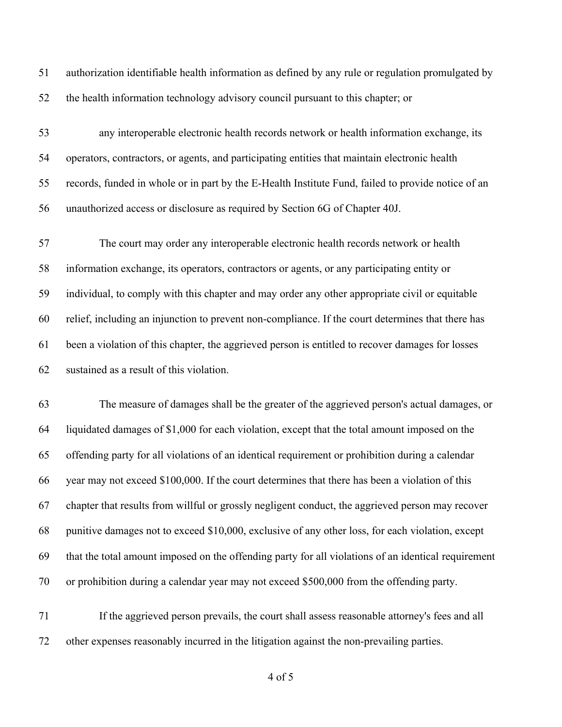authorization identifiable health information as defined by any rule or regulation promulgated by the health information technology advisory council pursuant to this chapter; or

 any interoperable electronic health records network or health information exchange, its operators, contractors, or agents, and participating entities that maintain electronic health records, funded in whole or in part by the E-Health Institute Fund, failed to provide notice of an unauthorized access or disclosure as required by Section 6G of Chapter 40J.

 The court may order any interoperable electronic health records network or health information exchange, its operators, contractors or agents, or any participating entity or individual, to comply with this chapter and may order any other appropriate civil or equitable relief, including an injunction to prevent non-compliance. If the court determines that there has been a violation of this chapter, the aggrieved person is entitled to recover damages for losses sustained as a result of this violation.

 The measure of damages shall be the greater of the aggrieved person's actual damages, or liquidated damages of \$1,000 for each violation, except that the total amount imposed on the offending party for all violations of an identical requirement or prohibition during a calendar year may not exceed \$100,000. If the court determines that there has been a violation of this chapter that results from willful or grossly negligent conduct, the aggrieved person may recover punitive damages not to exceed \$10,000, exclusive of any other loss, for each violation, except that the total amount imposed on the offending party for all violations of an identical requirement or prohibition during a calendar year may not exceed \$500,000 from the offending party.

 If the aggrieved person prevails, the court shall assess reasonable attorney's fees and all other expenses reasonably incurred in the litigation against the non-prevailing parties.

of 5